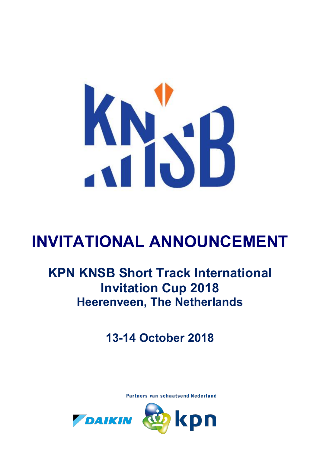

# **INVITATIONAL ANNOUNCEMENT**

## **KPN KNSB Short Track International Invitation Cup 2018 Heerenveen, The Netherlands**

**13-14 October 2018**

**Partners van schaatsend Nederland** 

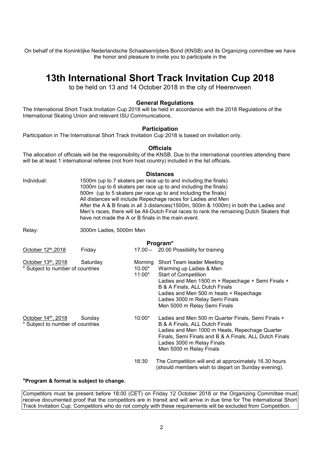On behalf of the Koninklijke Nederlandsche Schaatsenrijders Bond (KNSB) and its Organizing committee we have the honor and pleasure to invite you to participate in the

### **13th International Short Track Invitation Cup 2018**

to be held on 13 and 14 October 2018 in the city of Heerenveen

#### **General Regulations**

The International Short Track Invitation Cup 2018 will be held in accordance with the 2018 Regulations of the International Skating Union and relevant ISU Communications.

#### **Participation**

Participation in The International Short Track Invitation Cup 2018 is based on invitation only.

#### **Officials**

The allocation of officials will be the responsibility of the KNSB. Due to the international countries attending there will be at least 1 international referee (not from host country) included in the list officials.

#### **Distances**

| Individual:                                            | 1500m (up to 7 skaters per race up to and including the finals)<br>1000m (up to 6 skaters per race up to and including the finals)<br>500m (up to 5 skaters per race up to and including the finals)<br>All distances will include Repechage races for Ladies and Men<br>After the A & B finals in all 3 distances(1500m, 500m & 1000m) in both the Ladies and<br>Men's races, there will be All-Dutch Final races to rank the remaining Dutch Skaters that<br>have not made the A or B finals in the main event. |                                 |                                                                                                                                                                                                                                                                                         |  |  |
|--------------------------------------------------------|-------------------------------------------------------------------------------------------------------------------------------------------------------------------------------------------------------------------------------------------------------------------------------------------------------------------------------------------------------------------------------------------------------------------------------------------------------------------------------------------------------------------|---------------------------------|-----------------------------------------------------------------------------------------------------------------------------------------------------------------------------------------------------------------------------------------------------------------------------------------|--|--|
| Relay:                                                 | 3000m Ladies, 5000m Men                                                                                                                                                                                                                                                                                                                                                                                                                                                                                           |                                 |                                                                                                                                                                                                                                                                                         |  |  |
| Program*                                               |                                                                                                                                                                                                                                                                                                                                                                                                                                                                                                                   |                                 |                                                                                                                                                                                                                                                                                         |  |  |
| October 12th, 2018                                     | Friday                                                                                                                                                                                                                                                                                                                                                                                                                                                                                                            |                                 | 17.00 - 20.00 Possibility for training                                                                                                                                                                                                                                                  |  |  |
| October 13th, 2018<br>* Subject to number of countries | Saturday                                                                                                                                                                                                                                                                                                                                                                                                                                                                                                          | Morning<br>$10.00*$<br>$11:00*$ | Short Team leader Meeting<br>Warming up Ladies & Men<br><b>Start of Competition</b><br>Ladies and Men 1500 m + Repechage + Semi Finals +<br>B & A Finals, ALL Dutch Finals<br>Ladies and Men 500 m heats + Repechage<br>Ladies 3000 m Relay Semi Finals<br>Men 5000 m Relay Semi Finals |  |  |
| October 14th, 2018<br>* Subject to number of countries | Sunday                                                                                                                                                                                                                                                                                                                                                                                                                                                                                                            | $10:00*$                        | Ladies and Men 500 m Quarter Finals, Semi Finals +<br>B & A Finals, ALL Dutch Finals<br>Ladies and Men 1000 m Heats, Repechage Quarter<br>Finals, Semi Finals and B & A Finals, ALL Dutch Finals<br>Ladies 3000 m Relay Finals<br>Men 5000 m Relay Finals                               |  |  |
|                                                        |                                                                                                                                                                                                                                                                                                                                                                                                                                                                                                                   | 16:30                           | The Competition will end at approximately 16.30 hours<br>(should members wish to depart on Sunday evening).                                                                                                                                                                             |  |  |

#### **\*Program & format is subject to change.**

Competitors must be present before 18:00 (CET) on Friday 12 October 2018 or the Organizing Committee must receive documented proof that the competitors are in transit and will arrive in due time for The International Short Track Invitation Cup. Competitors who do not comply with these requirements will be excluded from Competition.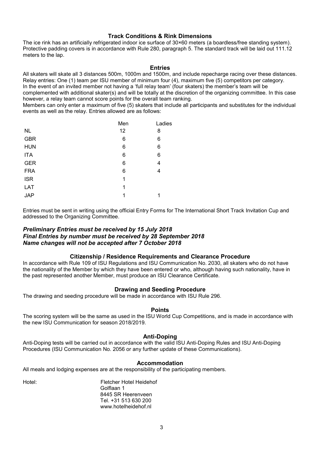#### **Track Conditions & Rink Dimensions**

The ice rink has an artificially refrigerated indoor ice surface of 30×60 meters (a boardless/free standing system). Protective padding covers is in accordance with Rule 280, paragraph 5. The standard track will be laid out 111.12 meters to the lap.

#### **Entries**

All skaters will skate all 3 distances 500m, 1000m and 1500m, and include repecharge racing over these distances. Relay entries: One (1) team per ISU member of minimum four (4), maximum five (5) competitors per category.

In the event of an invited member not having a 'full relay team' (four skaters) the member's team will be

complemented with additional skater(s) and will be totally at the discretion of the organizing committee. In this case however, a relay team cannot score points for the overall team ranking.

Members can only enter a maximum of five (5) skaters that include all participants and substitutes for the individual events as well as the relay. Entries allowed are as follows:

|            | Men | Ladies |
|------------|-----|--------|
| <b>NL</b>  | 12  | 8      |
| <b>GBR</b> | 6   | 6      |
| <b>HUN</b> | 6   | 6      |
| <b>ITA</b> | 6   | 6      |
| <b>GER</b> | 6   | 4      |
| <b>FRA</b> | 6   | 4      |
| <b>ISR</b> | 1   |        |
| LAT        | 1   |        |
| <b>JAP</b> | 1   | 1      |

Entries must be sent in writing using the official Entry Forms for The International Short Track Invitation Cup and addressed to the Organizing Committee.

#### *Preliminary Entries must be received by 15 July 2018 Final Entries by number must be received by 28 September 2018 Name changes will not be accepted after 7 October 2018*

#### **Citizenship / Residence Requirements and Clearance Procedure**

In accordance with Rule 109 of ISU Regulations and ISU Communication No. 2030, all skaters who do not have the nationality of the Member by which they have been entered or who, although having such nationality, have in the past represented another Member, must produce an ISU Clearance Certificate.

#### **Drawing and Seeding Procedure**

The drawing and seeding procedure will be made in accordance with ISU Rule 296.

#### **Points**

The scoring system will be the same as used in the ISU World Cup Competitions, and is made in accordance with the new ISU Communication for season 2018/2019.

#### **Anti-Doping**

Anti-Doping tests will be carried out in accordance with the valid ISU Anti-Doping Rules and ISU Anti-Doping Procedures (ISU Communication No. 2056 or any further update of these Communications).

#### **Accommodation**

All meals and lodging expenses are at the responsibility of the participating members.

Hotel: Fletcher Hotel Heidehof Golflaan 1 8445 SR Heerenveen Tel. +31 513 630 200 www.hotelheidehof.nl